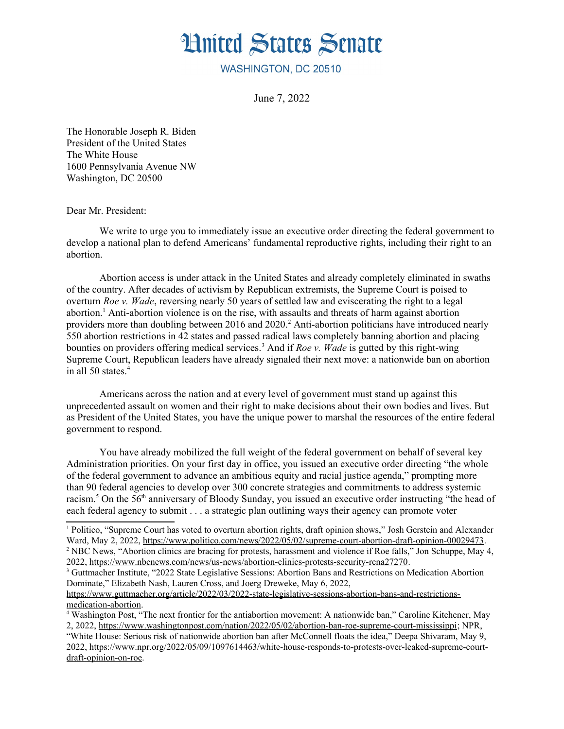

WASHINGTON, DC 20510

June 7, 2022

The Honorable Joseph R. Biden President of the United States The White House 1600 Pennsylvania Avenue NW Washington, DC 20500

Dear Mr. President:

We write to urge you to immediately issue an executive order directing the federal government to develop a national plan to defend Americans' fundamental reproductive rights, including their right to an abortion.

<span id="page-0-2"></span><span id="page-0-0"></span>Abortion access is under attack in the United States and already completely eliminated in swaths of the country. After decades of activism by Republican extremists, the Supreme Court is poised to overturn *Roe v. Wade*, reversing nearly 50 years of settled law and eviscerating the right to a legal abortion.<sup>[1](#page-0-1)</sup> Anti-abortion violence is on the rise, with assaults and threats of harm against abortion providers more than doubling between [2](#page-0-3)016 and 2020.<sup>2</sup> Anti-abortion politicians have introduced nearly 550 abortion restrictions in 42 states and passed radical laws completely banning abortion and placing bounties on providers offering medical services.<sup>[3](#page-0-5)</sup> And if *Roe v. Wade* is gutted by this right-wing Supreme Court, Republican leaders have already signaled their next move: a nationwide ban on abortion in all 50 states.<sup>[4](#page-0-7)</sup>

<span id="page-0-6"></span><span id="page-0-4"></span>Americans across the nation and at every level of government must stand up against this unprecedented assault on women and their right to make decisions about their own bodies and lives. But as President of the United States, you have the unique power to marshal the resources of the entire federal government to respond.

You have already mobilized the full weight of the federal government on behalf of several key Administration priorities. On your first day in office, you issued an executive order directing "the whole of the federal government to advance an ambitious equity and racial justice agenda," prompting more than 90 federal agencies to develop over 300 concrete strategies and commitments to address systemic racism.<sup>[5](#page-1-0)</sup> On the 56<sup>th</sup> anniversary of Bloody Sunday, you issued an executive order instructing "the head of each federal agency to submit . . . a strategic plan outlining ways their agency can promote voter

<span id="page-0-3"></span>2022,<https://www.nbcnews.com/news/us-news/abortion-clinics-protests-security-rcna27270>.

<span id="page-0-8"></span><span id="page-0-1"></span>[<sup>1</sup>](#page-0-0) Politico, "Supreme Court has voted to overturn abortion rights, draft opinion shows," Josh Gerstein and Alexander Ward, May 2, 2022, [https://www.politico.com/news/2022/05/02/supreme-court-abortion-draft-opinion-00029473.](https://www.politico.com/news/2022/05/02/supreme-court-abortion-draft-opinion-00029473) <sup>[2](#page-0-2)</sup> NBC News, "Abortion clinics are bracing for protests, harassment and violence if Roe falls," Jon Schuppe, May 4,

<span id="page-0-5"></span><sup>&</sup>lt;sup>[3](#page-0-4)</sup> Guttmacher Institute, "2022 State Legislative Sessions: Abortion Bans and Restrictions on Medication Abortion Dominate," Elizabeth Nash, Lauren Cross, and Joerg Dreweke, May 6, 2022,

[https://www.guttmacher.org/article/2022/03/2022-state-legislative-sessions-abortion-bans-and-restrictions](https://www.guttmacher.org/article/2022/03/2022-state-legislative-sessions-abortion-bans-and-restrictions-medication-abortion)[medication-abortion](https://www.guttmacher.org/article/2022/03/2022-state-legislative-sessions-abortion-bans-and-restrictions-medication-abortion).

<span id="page-0-7"></span>[<sup>4</sup>](#page-0-6) Washington Post, "The next frontier for the antiabortion movement: A nationwide ban," Caroline Kitchener, May 2, 2022,<https://www.washingtonpost.com/nation/2022/05/02/abortion-ban-roe-supreme-court-mississippi>; NPR, "White House: Serious risk of nationwide abortion ban after McConnell floats the idea," Deepa Shivaram, May 9, 2022, [https://www.npr.org/2022/05/09/1097614463/white-house-responds-to-protests-over-leaked-supreme-court](https://www.npr.org/2022/05/09/1097614463/white-house-responds-to-protests-over-leaked-supreme-court-draft-opinion-on-roe)[draft-opinion-on-roe](https://www.npr.org/2022/05/09/1097614463/white-house-responds-to-protests-over-leaked-supreme-court-draft-opinion-on-roe).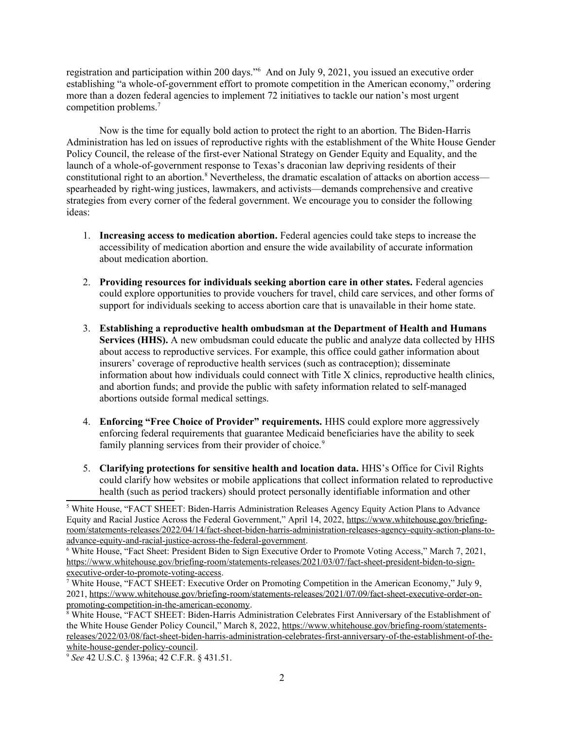<span id="page-1-1"></span>registration and participation within 200 days."<sup>[6](#page-1-2)</sup> And on July 9, 2021, you issued an executive order establishing "a whole-of-government effort to promote competition in the American economy," ordering more than a dozen federal agencies to implement 72 initiatives to tackle our nation's most urgent competition problems.[7](#page-1-4)

<span id="page-1-3"></span>Now is the time for equally bold action to protect the right to an abortion. The Biden-Harris Administration has led on issues of reproductive rights with the establishment of the White House Gender Policy Council, the release of the first-ever National Strategy on Gender Equity and Equality, and the launch of a whole-of-government response to Texas's draconian law depriving residents of their constitutional right to an abortion.<sup>[8](#page-1-6)</sup> Nevertheless, the dramatic escalation of attacks on abortion access spearheaded by right-wing justices, lawmakers, and activists—demands comprehensive and creative strategies from every corner of the federal government. We encourage you to consider the following ideas:

- <span id="page-1-5"></span>1. **Increasing access to medication abortion.** Federal agencies could take steps to increase the accessibility of medication abortion and ensure the wide availability of accurate information about medication abortion.
- 2. **Providing resources for individuals seeking abortion care in other states.** Federal agencies could explore opportunities to provide vouchers for travel, child care services, and other forms of support for individuals seeking to access abortion care that is unavailable in their home state.
- 3. **Establishing a reproductive health ombudsman at the Department of Health and Humans Services (HHS).** A new ombudsman could educate the public and analyze data collected by HHS about access to reproductive services. For example, this office could gather information about insurers' coverage of reproductive health services (such as contraception); disseminate information about how individuals could connect with Title X clinics, reproductive health clinics, and abortion funds; and provide the public with safety information related to self-managed abortions outside formal medical settings.
- <span id="page-1-7"></span>4. **Enforcing "Free Choice of Provider" requirements.** HHS could explore more aggressively enforcing federal requirements that guarantee Medicaid beneficiaries have the ability to seek family planning services from their provider of choice.<sup>[9](#page-1-8)</sup>
- 5. **Clarifying protections for sensitive health and location data.** HHS's Office for Civil Rights could clarify how websites or mobile applications that collect information related to reproductive health (such as period trackers) should protect personally identifiable information and other

<span id="page-1-0"></span><sup>&</sup>lt;sup>[5](#page-0-8)</sup> White House, "FACT SHEET: Biden-Harris Administration Releases Agency Equity Action Plans to Advance Equity and Racial Justice Across the Federal Government," April 14, 2022, [https://www.whitehouse.gov/briefing](https://www.whitehouse.gov/briefing-room/statements-releases/2022/04/14/fact-sheet-biden-harris-administration-releases-agency-equity-action-plans-to-advance-equity-and-racial-justice-across-the-federal-government)[room/statements-releases/2022/04/14/fact-sheet-biden-harris-administration-releases-agency-equity-action-plans-to](https://www.whitehouse.gov/briefing-room/statements-releases/2022/04/14/fact-sheet-biden-harris-administration-releases-agency-equity-action-plans-to-advance-equity-and-racial-justice-across-the-federal-government)[advance-equity-and-racial-justice-across-the-federal-government](https://www.whitehouse.gov/briefing-room/statements-releases/2022/04/14/fact-sheet-biden-harris-administration-releases-agency-equity-action-plans-to-advance-equity-and-racial-justice-across-the-federal-government).

<span id="page-1-2"></span>[<sup>6</sup>](#page-1-1) White House, "Fact Sheet: President Biden to Sign Executive Order to Promote Voting Access," March 7, 2021, [https://www.whitehouse.gov/briefing-room/statements-releases/2021/03/07/fact-sheet-president-biden-to-sign](https://www.whitehouse.gov/briefing-room/statements-releases/2021/03/07/fact-sheet-president-biden-to-sign-executive-order-to-promote-voting-access)[executive-order-to-promote-voting-access](https://www.whitehouse.gov/briefing-room/statements-releases/2021/03/07/fact-sheet-president-biden-to-sign-executive-order-to-promote-voting-access).

<span id="page-1-4"></span>[<sup>7</sup>](#page-1-3) White House, "FACT SHEET: Executive Order on Promoting Competition in the American Economy," July 9, 2021, [https://www.whitehouse.gov/briefing-room/statements-releases/2021/07/09/fact-sheet-executive-order-on](https://www.whitehouse.gov/briefing-room/statements-releases/2021/07/09/fact-sheet-executive-order-on-promoting-competition-in-the-american-economy)[promoting-competition-in-the-american-economy](https://www.whitehouse.gov/briefing-room/statements-releases/2021/07/09/fact-sheet-executive-order-on-promoting-competition-in-the-american-economy).

<span id="page-1-6"></span><sup>&</sup>lt;sup>[8](#page-1-5)</sup> White House. "FACT SHEET: Biden-Harris Administration Celebrates First Anniversary of the Establishment of the White House Gender Policy Council," March 8, 2022, [https://www.whitehouse.gov/briefing-room/statements](https://www.whitehouse.gov/briefing-room/statements-releases/2022/03/08/fact-sheet-biden-harris-administration-celebrates-first-anniversary-of-the-establishment-of-the-white-house-gender-policy-council)[releases/2022/03/08/fact-sheet-biden-harris-administration-celebrates-first-anniversary-of-the-establishment-of-the](https://www.whitehouse.gov/briefing-room/statements-releases/2022/03/08/fact-sheet-biden-harris-administration-celebrates-first-anniversary-of-the-establishment-of-the-white-house-gender-policy-council)[white-house-gender-policy-council.](https://www.whitehouse.gov/briefing-room/statements-releases/2022/03/08/fact-sheet-biden-harris-administration-celebrates-first-anniversary-of-the-establishment-of-the-white-house-gender-policy-council)

<span id="page-1-8"></span>[<sup>9</sup>](#page-1-7) *See* 42 U.S.C. § 1396a; 42 C.F.R. § 431.51.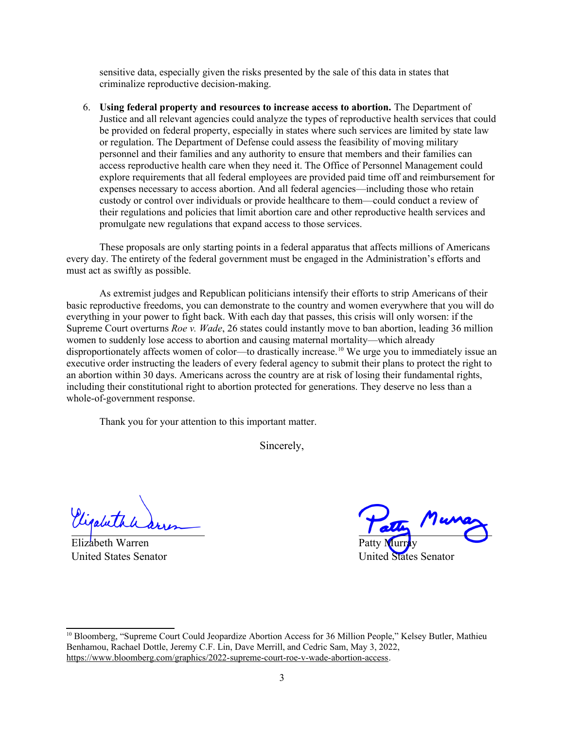sensitive data, especially given the risks presented by the sale of this data in states that criminalize reproductive decision-making.

6. **Using federal property and resources to increase access to abortion.** The Department of Justice and all relevant agencies could analyze the types of reproductive health services that could be provided on federal property, especially in states where such services are limited by state law or regulation. The Department of Defense could assess the feasibility of moving military personnel and their families and any authority to ensure that members and their families can access reproductive health care when they need it. The Office of Personnel Management could explore requirements that all federal employees are provided paid time off and reimbursement for expenses necessary to access abortion. And all federal agencies—including those who retain custody or control over individuals or provide healthcare to them—could conduct a review of their regulations and policies that limit abortion care and other reproductive health services and promulgate new regulations that expand access to those services.

These proposals are only starting points in a federal apparatus that affects millions of Americans every day. The entirety of the federal government must be engaged in the Administration's efforts and must act as swiftly as possible.

As extremist judges and Republican politicians intensify their efforts to strip Americans of their basic reproductive freedoms, you can demonstrate to the country and women everywhere that you will do everything in your power to fight back. With each day that passes, this crisis will only worsen: if the Supreme Court overturns *Roe v. Wade*, 26 states could instantly move to ban abortion, leading 36 million women to suddenly lose access to abortion and causing maternal mortality—which already disproportionately affects women of color—to drastically increase.<sup>[10](#page-2-1)</sup> We urge you to immediately issue an executive order instructing the leaders of every federal agency to submit their plans to protect the right to an abortion within 30 days. Americans across the country are at risk of losing their fundamental rights, including their constitutional right to abortion protected for generations. They deserve no less than a whole-of-government response.

Thank you for your attention to this important matter.

<span id="page-2-0"></span>Sincerely,

Elizabeth Warren United States Senator

Patty Murray nited States Senator

<span id="page-2-1"></span><sup>&</sup>lt;sup>[10](#page-2-0)</sup> Bloomberg, "Supreme Court Could Jeopardize Abortion Access for 36 Million People," Kelsey Butler, Mathieu Benhamou, Rachael Dottle, Jeremy C.F. Lin, Dave Merrill, and Cedric Sam, May 3, 2022, <https://www.bloomberg.com/graphics/2022-supreme-court-roe-v-wade-abortion-access>.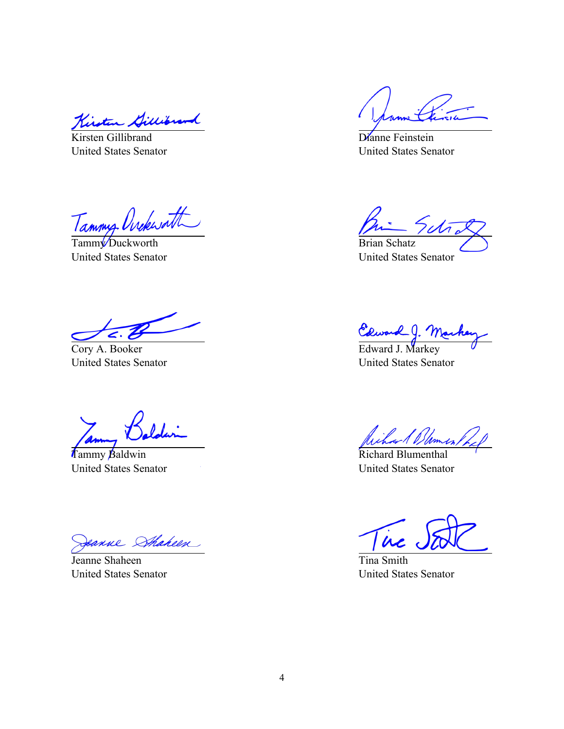Kirsten Gillibrand

United States Senator

Tammy Ovekwath

United States Senator

Cory A. Booker United States Senator

Tammy Baldwin United States Senator

eanne Sthaheen

Jeanne Shaheen United States Senator

Dianne Feinstein United States Senator

Brian Schatz United States Senator

Edward J. Mar<br>Edward J. Markey

United States Senator

Richard Blomes

Richard Blumenthal United States Senator

 $\dot{\bm{\mu}}$ 

Tina Smith United States Senator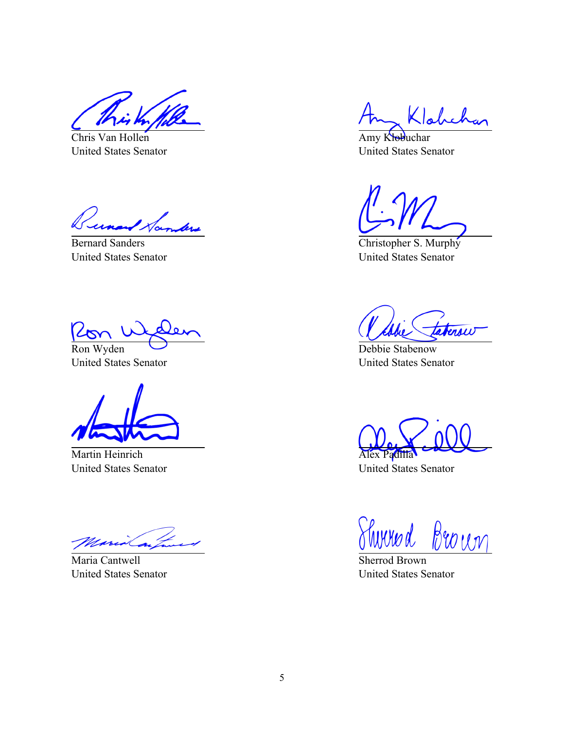Chris Van Hollen United States Senator

unand Norman

Bernard Sanders United States Senator

Ron Wyden

United States Senator

Martin Heinrich United States Senator

Maria Cantwell United States Senator

 $\mathsf{K}$ loke

Amy Klobuchar United States Senator

Christopher S. Murphy United States Senator

terow

Debbie Stabenow United States Senator

Alex Padilla United States Senator

Shirred Brown

Sherrod Brown United States Senator